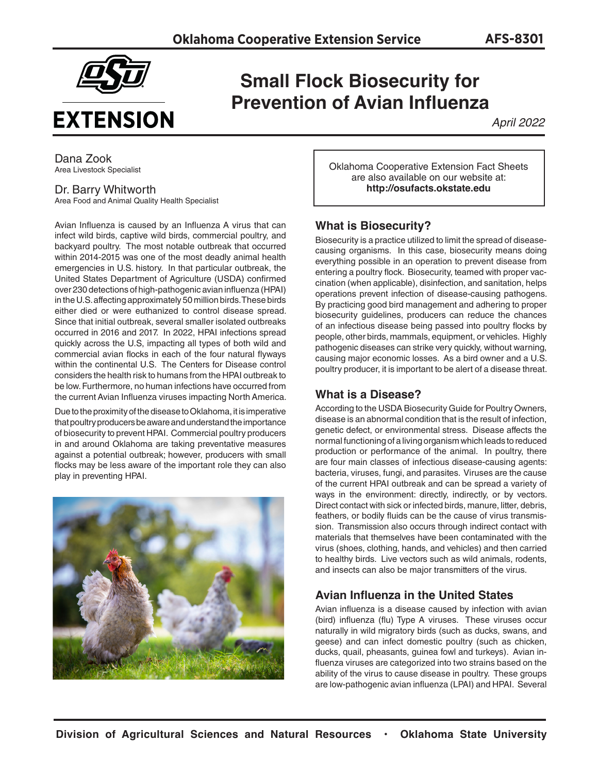

# **Small Flock Biosecurity for Prevention of Avian Influenza**

*April 2022*

Dana Zook Area Livestock Specialist

## Dr. Barry Whitworth

Area Food and Animal Quality Health Specialist

Avian Influenza is caused by an Influenza A virus that can infect wild birds, captive wild birds, commercial poultry, and backyard poultry. The most notable outbreak that occurred within 2014-2015 was one of the most deadly animal health emergencies in U.S. history. In that particular outbreak, the United States Department of Agriculture (USDA) confirmed over 230 detections of high-pathogenic avian influenza (HPAI) in the U.S. affecting approximately 50 million birds. These birds either died or were euthanized to control disease spread. Since that initial outbreak, several smaller isolated outbreaks occurred in 2016 and 2017. In 2022, HPAI infections spread quickly across the U.S, impacting all types of both wild and commercial avian flocks in each of the four natural flyways within the continental U.S. The Centers for Disease control considers the health risk to humans from the HPAI outbreak to be low. Furthermore, no human infections have occurred from the current Avian Influenza viruses impacting North America.

Due to the proximity of the disease to Oklahoma, it is imperative that poultry producers be aware and understand the importance of biosecurity to prevent HPAI. Commercial poultry producers in and around Oklahoma are taking preventative measures against a potential outbreak; however, producers with small flocks may be less aware of the important role they can also play in preventing HPAI.



Oklahoma Cooperative Extension Fact Sheets are also available on our website at: **http://osufacts.okstate.edu**

## **What is Biosecurity?**

Biosecurity is a practice utilized to limit the spread of diseasecausing organisms. In this case, biosecurity means doing everything possible in an operation to prevent disease from entering a poultry flock. Biosecurity, teamed with proper vaccination (when applicable), disinfection, and sanitation, helps operations prevent infection of disease-causing pathogens. By practicing good bird management and adhering to proper biosecurity guidelines, producers can reduce the chances of an infectious disease being passed into poultry flocks by people, other birds, mammals, equipment, or vehicles. Highly pathogenic diseases can strike very quickly, without warning, causing major economic losses. As a bird owner and a U.S. poultry producer, it is important to be alert of a disease threat.

# **What is a Disease?**

According to the USDA Biosecurity Guide for Poultry Owners, disease is an abnormal condition that is the result of infection, genetic defect, or environmental stress. Disease affects the normal functioning of a living organism which leads to reduced production or performance of the animal. In poultry, there are four main classes of infectious disease-causing agents: bacteria, viruses, fungi, and parasites. Viruses are the cause of the current HPAI outbreak and can be spread a variety of ways in the environment: directly, indirectly, or by vectors. Direct contact with sick or infected birds, manure, litter, debris, feathers, or bodily fluids can be the cause of virus transmission. Transmission also occurs through indirect contact with materials that themselves have been contaminated with the virus (shoes, clothing, hands, and vehicles) and then carried to healthy birds. Live vectors such as wild animals, rodents, and insects can also be major transmitters of the virus.

# **Avian Influenza in the United States**

Avian influenza is a disease caused by infection with avian (bird) influenza (flu) Type A viruses. These viruses occur naturally in wild migratory birds (such as ducks, swans, and geese) and can infect domestic poultry (such as chicken, ducks, quail, pheasants, guinea fowl and turkeys). Avian influenza viruses are categorized into two strains based on the ability of the virus to cause disease in poultry. These groups are low-pathogenic avian influenza (LPAI) and HPAI. Several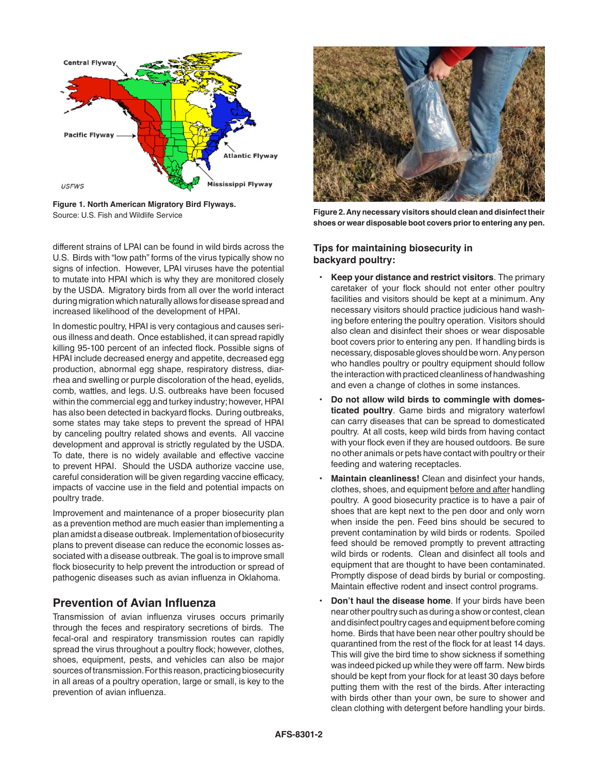

**Figure 1. North American Migratory Bird Flyways.** Source: U.S. Fish and Wildlife Service

different strains of LPAI can be found in wild birds across the U.S. Birds with "low path" forms of the virus typically show no signs of infection. However, LPAI viruses have the potential to mutate into HPAI which is why they are monitored closely by the USDA. Migratory birds from all over the world interact during migration which naturally allows for disease spread and increased likelihood of the development of HPAI.

In domestic poultry, HPAI is very contagious and causes serious illness and death. Once established, it can spread rapidly killing 95-100 percent of an infected flock. Possible signs of HPAI include decreased energy and appetite, decreased egg production, abnormal egg shape, respiratory distress, diarrhea and swelling or purple discoloration of the head, eyelids, comb, wattles, and legs. U.S. outbreaks have been focused within the commercial egg and turkey industry; however, HPAI has also been detected in backyard flocks. During outbreaks, some states may take steps to prevent the spread of HPAI by canceling poultry related shows and events. All vaccine development and approval is strictly regulated by the USDA. To date, there is no widely available and effective vaccine to prevent HPAI. Should the USDA authorize vaccine use, careful consideration will be given regarding vaccine efficacy, impacts of vaccine use in the field and potential impacts on poultry trade.

Improvement and maintenance of a proper biosecurity plan as a prevention method are much easier than implementing a plan amidst a disease outbreak. Implementation of biosecurity plans to prevent disease can reduce the economic losses associated with a disease outbreak. The goal is to improve small flock biosecurity to help prevent the introduction or spread of pathogenic diseases such as avian influenza in Oklahoma.

# **Prevention of Avian Influenza**

Transmission of avian influenza viruses occurs primarily through the feces and respiratory secretions of birds. The fecal-oral and respiratory transmission routes can rapidly spread the virus throughout a poultry flock; however, clothes, shoes, equipment, pests, and vehicles can also be major sources of transmission. For this reason, practicing biosecurity in all areas of a poultry operation, large or small, is key to the prevention of avian influenza.



**Figure 2. Any necessary visitors should clean and disinfect their shoes or wear disposable boot covers prior to entering any pen.** 

## **Tips for maintaining biosecurity in backyard poultry:**

- **Keep your distance and restrict visitors**. The primary caretaker of your flock should not enter other poultry facilities and visitors should be kept at a minimum. Any necessary visitors should practice judicious hand washing before entering the poultry operation. Visitors should also clean and disinfect their shoes or wear disposable boot covers prior to entering any pen. If handling birds is necessary, disposable gloves should be worn. Any person who handles poultry or poultry equipment should follow the interaction with practiced cleanliness of handwashing and even a change of clothes in some instances.
- **Do not allow wild birds to commingle with domesticated poultry**. Game birds and migratory waterfowl can carry diseases that can be spread to domesticated poultry. At all costs, keep wild birds from having contact with your flock even if they are housed outdoors. Be sure no other animals or pets have contact with poultry or their feeding and watering receptacles.
- **Maintain cleanliness!** Clean and disinfect your hands, clothes, shoes, and equipment before and after handling poultry. A good biosecurity practice is to have a pair of shoes that are kept next to the pen door and only worn when inside the pen. Feed bins should be secured to prevent contamination by wild birds or rodents. Spoiled feed should be removed promptly to prevent attracting wild birds or rodents. Clean and disinfect all tools and equipment that are thought to have been contaminated. Promptly dispose of dead birds by burial or composting. Maintain effective rodent and insect control programs.
- **Don't haul the disease home**. If your birds have been near other poultry such as during a show or contest, clean and disinfect poultry cages and equipment before coming home. Birds that have been near other poultry should be quarantined from the rest of the flock for at least 14 days. This will give the bird time to show sickness if something was indeed picked up while they were off farm. New birds should be kept from your flock for at least 30 days before putting them with the rest of the birds. After interacting with birds other than your own, be sure to shower and clean clothing with detergent before handling your birds.